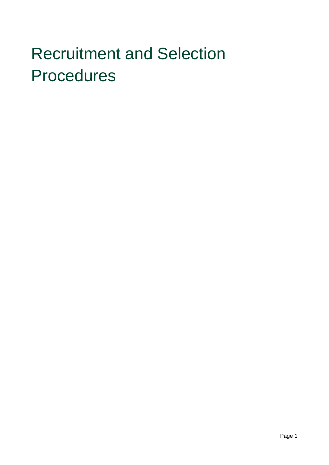# Recruitment and Selection **Procedures**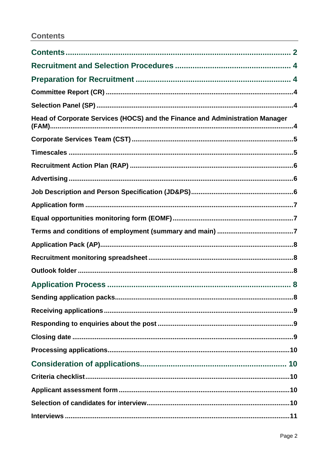# <span id="page-1-0"></span>**Contents**

| Head of Corporate Services (HOCS) and the Finance and Administration Manager |  |
|------------------------------------------------------------------------------|--|
|                                                                              |  |
|                                                                              |  |
|                                                                              |  |
|                                                                              |  |
|                                                                              |  |
|                                                                              |  |
|                                                                              |  |
|                                                                              |  |
|                                                                              |  |
|                                                                              |  |
|                                                                              |  |
|                                                                              |  |
|                                                                              |  |
|                                                                              |  |
|                                                                              |  |
|                                                                              |  |
|                                                                              |  |
|                                                                              |  |
|                                                                              |  |
|                                                                              |  |
|                                                                              |  |
|                                                                              |  |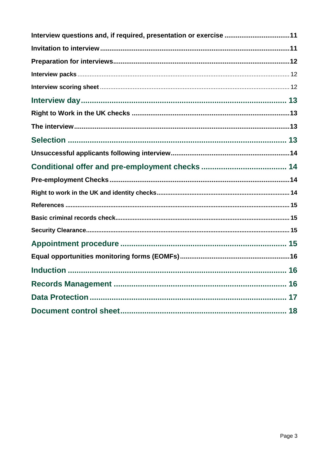| Interview questions and, if required, presentation or exercise 11 |
|-------------------------------------------------------------------|
|                                                                   |
|                                                                   |
|                                                                   |
|                                                                   |
|                                                                   |
|                                                                   |
|                                                                   |
|                                                                   |
|                                                                   |
|                                                                   |
|                                                                   |
|                                                                   |
|                                                                   |
|                                                                   |
|                                                                   |
|                                                                   |
|                                                                   |
|                                                                   |
|                                                                   |
|                                                                   |
|                                                                   |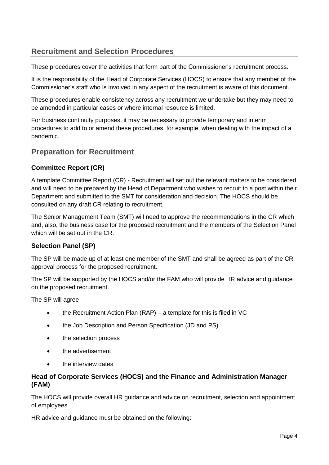# <span id="page-3-0"></span>**Recruitment and Selection Procedures**

These procedures cover the activities that form part of the Commissioner's recruitment process.

It is the responsibility of the Head of Corporate Services (HOCS) to ensure that any member of the Commissioner's staff who is involved in any aspect of the recruitment is aware of this document.

These procedures enable consistency across any recruitment we undertake but they may need to be amended in particular cases or where internal resource is limited.

For business continuity purposes, it may be necessary to provide temporary and interim procedures to add to or amend these procedures, for example, when dealing with the impact of a pandemic.

# <span id="page-3-1"></span>**Preparation for Recruitment**

## <span id="page-3-2"></span>**Committee Report (CR)**

A template Committee Report (CR) - Recruitment will set out the relevant matters to be considered and will need to be prepared by the Head of Department who wishes to recruit to a post within their Department and submitted to the SMT for consideration and decision. The HOCS should be consulted on any draft CR relating to recruitment.

The Senior Management Team (SMT) will need to approve the recommendations in the CR which and, also, the business case for the proposed recruitment and the members of the Selection Panel which will be set out in the CR.

# <span id="page-3-3"></span>**Selection Panel (SP)**

The SP will be made up of at least one member of the SMT and shall be agreed as part of the CR approval process for the proposed recruitment.

The SP will be supported by the HOCS and/or the FAM who will provide HR advice and guidance on the proposed recruitment.

The SP will agree

- the Recruitment Action Plan (RAP) a template for this is filed in VC
- the Job Description and Person Specification (JD and PS)
- the selection process
- the advertisement
- the interview dates

## <span id="page-3-4"></span>**Head of Corporate Services (HOCS) and the Finance and Administration Manager (FAM)**

The HOCS will provide overall HR guidance and advice on recruitment, selection and appointment of employees.

HR advice and guidance must be obtained on the following: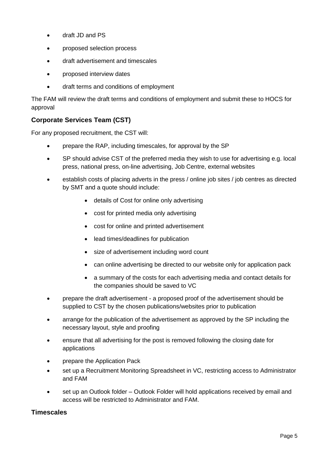- draft JD and PS
- proposed selection process
- draft advertisement and timescales
- proposed interview dates
- draft terms and conditions of employment

The FAM will review the draft terms and conditions of employment and submit these to HOCS for approval

# <span id="page-4-0"></span>**Corporate Services Team (CST)**

For any proposed recruitment, the CST will:

- prepare the RAP, including timescales, for approval by the SP
- SP should advise CST of the preferred media they wish to use for advertising e.g. local press, national press, on-line advertising, Job Centre, external websites
- establish costs of placing adverts in the press / online job sites / job centres as directed by SMT and a quote should include:
	- details of Cost for online only advertising
	- cost for printed media only advertising
	- cost for online and printed advertisement
	- lead times/deadlines for publication
	- size of advertisement including word count
	- can online advertising be directed to our website only for application pack
	- a summary of the costs for each advertising media and contact details for the companies should be saved to VC
- prepare the draft advertisement a proposed proof of the advertisement should be supplied to CST by the chosen publications/websites prior to publication
- arrange for the publication of the advertisement as approved by the SP including the necessary layout, style and proofing
- ensure that all advertising for the post is removed following the closing date for applications
- prepare the Application Pack
- set up a Recruitment Monitoring Spreadsheet in VC, restricting access to Administrator and FAM
- set up an Outlook folder Outlook Folder will hold applications received by email and access will be restricted to Administrator and FAM.

## <span id="page-4-1"></span>**Timescales**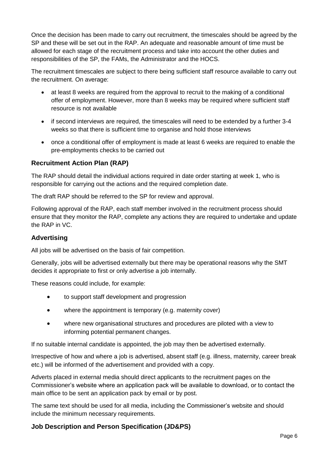Once the decision has been made to carry out recruitment, the timescales should be agreed by the SP and these will be set out in the RAP. An adequate and reasonable amount of time must be allowed for each stage of the recruitment process and take into account the other duties and responsibilities of the SP, the FAMs, the Administrator and the HOCS.

The recruitment timescales are subject to there being sufficient staff resource available to carry out the recruitment. On average:

- at least 8 weeks are required from the approval to recruit to the making of a conditional offer of employment. However, more than 8 weeks may be required where sufficient staff resource is not available
- if second interviews are required, the timescales will need to be extended by a further 3-4 weeks so that there is sufficient time to organise and hold those interviews
- once a conditional offer of employment is made at least 6 weeks are required to enable the pre-employments checks to be carried out

# <span id="page-5-0"></span>**Recruitment Action Plan (RAP)**

The RAP should detail the individual actions required in date order starting at week 1, who is responsible for carrying out the actions and the required completion date.

The draft RAP should be referred to the SP for review and approval.

Following approval of the RAP, each staff member involved in the recruitment process should ensure that they monitor the RAP, complete any actions they are required to undertake and update the RAP in VC.

# <span id="page-5-1"></span>**Advertising**

All jobs will be advertised on the basis of fair competition.

Generally, jobs will be advertised externally but there may be operational reasons why the SMT decides it appropriate to first or only advertise a job internally.

These reasons could include, for example:

- to support staff development and progression
- where the appointment is temporary (e.g. maternity cover)
- where new organisational structures and procedures are piloted with a view to informing potential permanent changes.

If no suitable internal candidate is appointed, the job may then be advertised externally.

Irrespective of how and where a job is advertised, absent staff (e.g. illness, maternity, career break etc.) will be informed of the advertisement and provided with a copy.

Adverts placed in external media should direct applicants to the recruitment pages on the Commissioner's website where an application pack will be available to download, or to contact the main office to be sent an application pack by email or by post.

The same text should be used for all media, including the Commissioner's website and should include the minimum necessary requirements.

# <span id="page-5-2"></span>**Job Description and Person Specification (JD&PS)**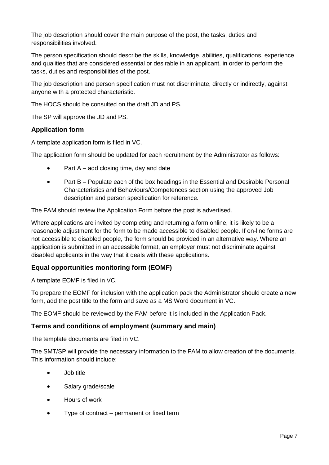The job description should cover the main purpose of the post, the tasks, duties and responsibilities involved.

The person specification should describe the skills, knowledge, abilities, qualifications, experience and qualities that are considered essential or desirable in an applicant, in order to perform the tasks, duties and responsibilities of the post.

The job description and person specification must not discriminate, directly or indirectly, against anyone with a protected characteristic.

The HOCS should be consulted on the draft JD and PS.

The SP will approve the JD and PS.

## <span id="page-6-0"></span>**Application form**

A template application form is filed in VC.

The application form should be updated for each recruitment by the Administrator as follows:

- Part A add closing time, day and date
- Part B Populate each of the box headings in the Essential and Desirable Personal Characteristics and Behaviours/Competences section using the approved Job description and person specification for reference.

The FAM should review the Application Form before the post is advertised.

Where applications are invited by completing and returning a form online, it is likely to be a reasonable adjustment for the form to be made accessible to disabled people. If on-line forms are not accessible to disabled people, the form should be provided in an alternative way. Where an application is submitted in an accessible format, an employer must not discriminate against disabled applicants in the way that it deals with these applications.

# <span id="page-6-1"></span>**Equal opportunities monitoring form (EOMF)**

A template EOMF is filed in VC.

To prepare the EOMF for inclusion with the application pack the Administrator should create a new form, add the post title to the form and save as a MS Word document in VC.

The EOMF should be reviewed by the FAM before it is included in the Application Pack.

## <span id="page-6-2"></span>**Terms and conditions of employment (summary and main)**

The template documents are filed in VC.

The SMT/SP will provide the necessary information to the FAM to allow creation of the documents. This information should include:

- Job title
- Salary grade/scale
- Hours of work
- Type of contract permanent or fixed term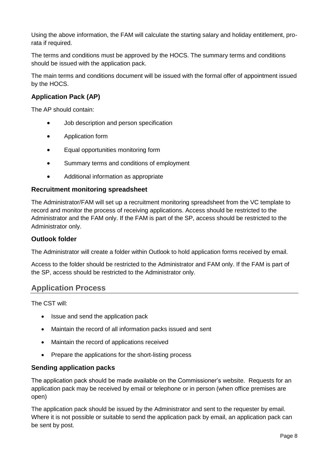Using the above information, the FAM will calculate the starting salary and holiday entitlement, prorata if required.

The terms and conditions must be approved by the HOCS. The summary terms and conditions should be issued with the application pack.

The main terms and conditions document will be issued with the formal offer of appointment issued by the HOCS.

# <span id="page-7-0"></span>**Application Pack (AP)**

The AP should contain:

- Job description and person specification
- Application form
- Equal opportunities monitoring form
- Summary terms and conditions of employment
- Additional information as appropriate

#### <span id="page-7-1"></span>**Recruitment monitoring spreadsheet**

The Administrator/FAM will set up a recruitment monitoring spreadsheet from the VC template to record and monitor the process of receiving applications. Access should be restricted to the Administrator and the FAM only. If the FAM is part of the SP, access should be restricted to the Administrator only.

#### <span id="page-7-2"></span>**Outlook folder**

The Administrator will create a folder within Outlook to hold application forms received by email.

Access to the folder should be restricted to the Administrator and FAM only. If the FAM is part of the SP, access should be restricted to the Administrator only.

# <span id="page-7-3"></span>**Application Process**

The CST will:

- Issue and send the application pack
- Maintain the record of all information packs issued and sent
- Maintain the record of applications received
- Prepare the applications for the short-listing process

## <span id="page-7-4"></span>**Sending application packs**

The application pack should be made available on the Commissioner's website. Requests for an application pack may be received by email or telephone or in person (when office premises are open)

The application pack should be issued by the Administrator and sent to the requester by email. Where it is not possible or suitable to send the application pack by email, an application pack can be sent by post.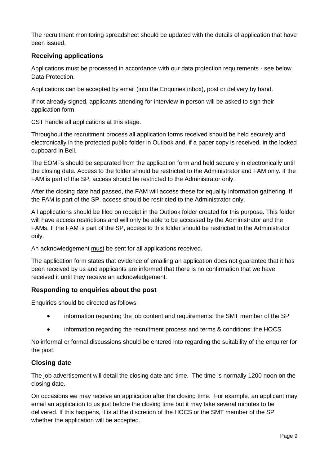The recruitment monitoring spreadsheet should be updated with the details of application that have been issued.

## <span id="page-8-0"></span>**Receiving applications**

Applications must be processed in accordance with our data protection requirements - see below Data Protection.

Applications can be accepted by email (into the Enquiries inbox), post or delivery by hand.

If not already signed, applicants attending for interview in person will be asked to sign their application form.

CST handle all applications at this stage.

Throughout the recruitment process all application forms received should be held securely and electronically in the protected public folder in Outlook and, if a paper copy is received, in the locked cupboard in Bell.

The EOMFs should be separated from the application form and held securely in electronically until the closing date. Access to the folder should be restricted to the Administrator and FAM only. If the FAM is part of the SP, access should be restricted to the Administrator only.

After the closing date had passed, the FAM will access these for equality information gathering. If the FAM is part of the SP, access should be restricted to the Administrator only.

All applications should be filed on receipt in the Outlook folder created for this purpose. This folder will have access restrictions and will only be able to be accessed by the Administrator and the FAMs. If the FAM is part of the SP, access to this folder should be restricted to the Administrator only.

An acknowledgement must be sent for all applications received.

The application form states that evidence of emailing an application does not guarantee that it has been received by us and applicants are informed that there is no confirmation that we have received it until they receive an acknowledgement.

## <span id="page-8-1"></span>**Responding to enquiries about the post**

Enquiries should be directed as follows:

- information regarding the job content and requirements: the SMT member of the SP
- information regarding the recruitment process and terms & conditions: the HOCS

No informal or formal discussions should be entered into regarding the suitability of the enquirer for the post.

## <span id="page-8-2"></span>**Closing date**

The job advertisement will detail the closing date and time. The time is normally 1200 noon on the closing date.

On occasions we may receive an application after the closing time. For example, an applicant may email an application to us just before the closing time but it may take several minutes to be delivered. If this happens, it is at the discretion of the HOCS or the SMT member of the SP whether the application will be accepted.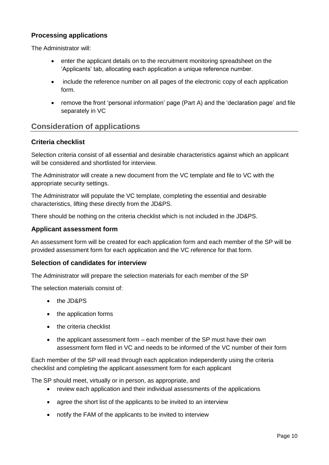# <span id="page-9-0"></span>**Processing applications**

The Administrator will:

- enter the applicant details on to the recruitment monitoring spreadsheet on the 'Applicants' tab, allocating each application a unique reference number.
- include the reference number on all pages of the electronic copy of each application form.
- remove the front 'personal information' page (Part A) and the 'declaration page' and file separately in VC

# <span id="page-9-1"></span>**Consideration of applications**

#### <span id="page-9-2"></span>**Criteria checklist**

Selection criteria consist of all essential and desirable characteristics against which an applicant will be considered and shortlisted for interview.

The Administrator will create a new document from the VC template and file to VC with the appropriate security settings.

The Administrator will populate the VC template, completing the essential and desirable characteristics, lifting these directly from the JD&PS.

There should be nothing on the criteria checklist which is not included in the JD&PS.

#### <span id="page-9-3"></span>**Applicant assessment form**

An assessment form will be created for each application form and each member of the SP will be provided assessment form for each application and the VC reference for that form.

#### <span id="page-9-4"></span>**Selection of candidates for interview**

The Administrator will prepare the selection materials for each member of the SP

The selection materials consist of:

- the JD&PS
- the application forms
- the criteria checklist
- the applicant assessment form each member of the SP must have their own assessment form filed in VC and needs to be informed of the VC number of their form

Each member of the SP will read through each application independently using the criteria checklist and completing the applicant assessment form for each applicant

The SP should meet, virtually or in person, as appropriate, and

- review each application and their individual assessments of the applications
- agree the short list of the applicants to be invited to an interview
- notify the FAM of the applicants to be invited to interview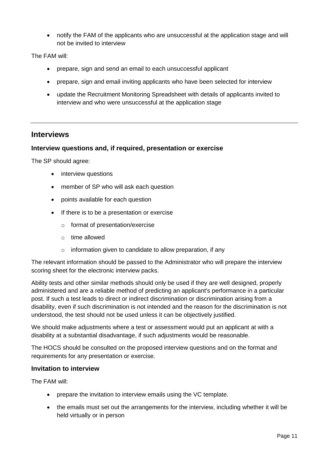• notify the FAM of the applicants who are unsuccessful at the application stage and will not be invited to interview

The FAM will:

- prepare, sign and send an email to each unsuccessful applicant
- prepare, sign and email inviting applicants who have been selected for interview
- update the Recruitment Monitoring Spreadsheet with details of applicants invited to interview and who were unsuccessful at the application stage

# <span id="page-10-0"></span>**Interviews**

## <span id="page-10-1"></span>**Interview questions and, if required, presentation or exercise**

The SP should agree:

- interview questions
- member of SP who will ask each question
- points available for each question
- If there is to be a presentation or exercise
	- o format of presentation/exercise
	- o time allowed
	- o information given to candidate to allow preparation, if any

The relevant information should be passed to the Administrator who will prepare the interview scoring sheet for the electronic interview packs.

Ability tests and other similar methods should only be used if they are well designed, properly administered and are a reliable method of predicting an applicant's performance in a particular post. If such a test leads to direct or indirect discrimination or discrimination arising from a disability, even if such discrimination is not intended and the reason for the discrimination is not understood, the test should not be used unless it can be objectively justified.

We should make adjustments where a test or assessment would put an applicant at with a disability at a substantial disadvantage, if such adjustments would be reasonable.

The HOCS should be consulted on the proposed interview questions and on the format and requirements for any presentation or exercise.

## <span id="page-10-2"></span>**Invitation to interview**

The FAM will:

- prepare the invitation to interview emails using the VC template.
- the emails must set out the arrangements for the interview, including whether it will be held virtually or in person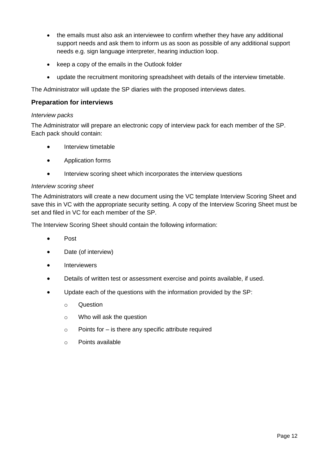- the emails must also ask an interviewee to confirm whether they have any additional support needs and ask them to inform us as soon as possible of any additional support needs e.g. sign language interpreter, hearing induction loop.
- keep a copy of the emails in the Outlook folder
- update the recruitment monitoring spreadsheet with details of the interview timetable.

The Administrator will update the SP diaries with the proposed interviews dates.

## <span id="page-11-0"></span>**Preparation for interviews**

#### <span id="page-11-1"></span>*Interview packs*

The Administrator will prepare an electronic copy of interview pack for each member of the SP. Each pack should contain:

- Interview timetable
- Application forms
- Interview scoring sheet which incorporates the interview questions

#### <span id="page-11-2"></span>*Interview scoring sheet*

The Administrators will create a new document using the VC template Interview Scoring Sheet and save this in VC with the appropriate security setting. A copy of the Interview Scoring Sheet must be set and filed in VC for each member of the SP.

The Interview Scoring Sheet should contain the following information:

- Post
- Date (of interview)
- Interviewers
- Details of written test or assessment exercise and points available, if used.
- <span id="page-11-3"></span>• Update each of the questions with the information provided by the SP:
	- o Question
	- o Who will ask the question
	- $\circ$  Points for is there any specific attribute required
	- o Points available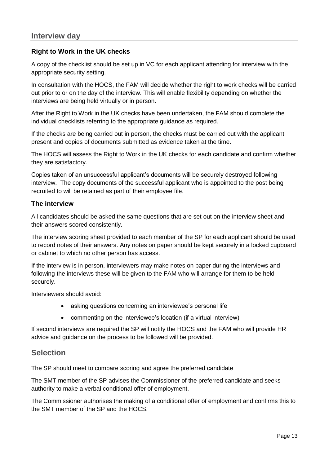## <span id="page-12-0"></span>**Right to Work in the UK checks**

A copy of the checklist should be set up in VC for each applicant attending for interview with the appropriate security setting.

In consultation with the HOCS, the FAM will decide whether the right to work checks will be carried out prior to or on the day of the interview. This will enable flexibility depending on whether the interviews are being held virtually or in person.

After the Right to Work in the UK checks have been undertaken, the FAM should complete the individual checklists referring to the appropriate guidance as required.

If the checks are being carried out in person, the checks must be carried out with the applicant present and copies of documents submitted as evidence taken at the time.

The HOCS will assess the Right to Work in the UK checks for each candidate and confirm whether they are satisfactory.

Copies taken of an unsuccessful applicant's documents will be securely destroyed following interview. The copy documents of the successful applicant who is appointed to the post being recruited to will be retained as part of their employee file.

#### <span id="page-12-1"></span>**The interview**

All candidates should be asked the same questions that are set out on the interview sheet and their answers scored consistently.

The interview scoring sheet provided to each member of the SP for each applicant should be used to record notes of their answers. Any notes on paper should be kept securely in a locked cupboard or cabinet to which no other person has access.

If the interview is in person, interviewers may make notes on paper during the interviews and following the interviews these will be given to the FAM who will arrange for them to be held securely.

Interviewers should avoid:

- asking questions concerning an interviewee's personal life
- commenting on the interviewee's location (if a virtual interview)

If second interviews are required the SP will notify the HOCS and the FAM who will provide HR advice and guidance on the process to be followed will be provided.

## <span id="page-12-2"></span>**Selection**

The SP should meet to compare scoring and agree the preferred candidate

The SMT member of the SP advises the Commissioner of the preferred candidate and seeks authority to make a verbal conditional offer of employment.

The Commissioner authorises the making of a conditional offer of employment and confirms this to the SMT member of the SP and the HOCS.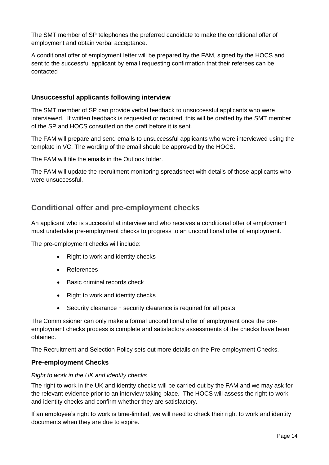The SMT member of SP telephones the preferred candidate to make the conditional offer of employment and obtain verbal acceptance.

A conditional offer of employment letter will be prepared by the FAM, signed by the HOCS and sent to the successful applicant by email requesting confirmation that their referees can be contacted

## <span id="page-13-0"></span>**Unsuccessful applicants following interview**

The SMT member of SP can provide verbal feedback to unsuccessful applicants who were interviewed. If written feedback is requested or required, this will be drafted by the SMT member of the SP and HOCS consulted on the draft before it is sent.

The FAM will prepare and send emails to unsuccessful applicants who were interviewed using the template in VC. The wording of the email should be approved by the HOCS.

The FAM will file the emails in the Outlook folder.

The FAM will update the recruitment monitoring spreadsheet with details of those applicants who were unsuccessful.

# <span id="page-13-1"></span>**Conditional offer and pre-employment checks**

An applicant who is successful at interview and who receives a conditional offer of employment must undertake pre-employment checks to progress to an unconditional offer of employment.

The pre-employment checks will include:

- Right to work and identity checks
- References
- Basic criminal records check
- Right to work and identity checks
- Security clearance security clearance is required for all posts

The Commissioner can only make a formal unconditional offer of employment once the preemployment checks process is complete and satisfactory assessments of the checks have been obtained.

The Recruitment and Selection Policy sets out more details on the Pre-employment Checks.

## <span id="page-13-2"></span>**Pre-employment Checks**

#### <span id="page-13-3"></span>*Right to work in the UK and identity checks*

The right to work in the UK and identity checks will be carried out by the FAM and we may ask for the relevant evidence prior to an interview taking place. The HOCS will assess the right to work and identity checks and confirm whether they are satisfactory.

If an employee's right to work is time-limited, we will need to check their right to work and identity documents when they are due to expire.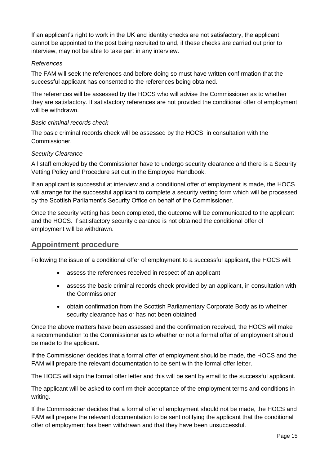If an applicant's right to work in the UK and identity checks are not satisfactory, the applicant cannot be appointed to the post being recruited to and, if these checks are carried out prior to interview, may not be able to take part in any interview.

## <span id="page-14-0"></span>*References*

The FAM will seek the references and before doing so must have written confirmation that the successful applicant has consented to the references being obtained.

The references will be assessed by the HOCS who will advise the Commissioner as to whether they are satisfactory. If satisfactory references are not provided the conditional offer of employment will be withdrawn.

## <span id="page-14-1"></span>*Basic criminal records check*

The basic criminal records check will be assessed by the HOCS, in consultation with the Commissioner.

## <span id="page-14-2"></span>*Security Clearance*

All staff employed by the Commissioner have to undergo security clearance and there is a Security Vetting Policy and Procedure set out in the Employee Handbook.

If an applicant is successful at interview and a conditional offer of employment is made, the HOCS will arrange for the successful applicant to complete a security vetting form which will be processed by the Scottish Parliament's Security Office on behalf of the Commissioner.

Once the security vetting has been completed, the outcome will be communicated to the applicant and the HOCS. If satisfactory security clearance is not obtained the conditional offer of employment will be withdrawn.

# <span id="page-14-3"></span>**Appointment procedure**

Following the issue of a conditional offer of employment to a successful applicant, the HOCS will:

- assess the references received in respect of an applicant
- assess the basic criminal records check provided by an applicant, in consultation with the Commissioner
- obtain confirmation from the Scottish Parliamentary Corporate Body as to whether security clearance has or has not been obtained

Once the above matters have been assessed and the confirmation received, the HOCS will make a recommendation to the Commissioner as to whether or not a formal offer of employment should be made to the applicant.

If the Commissioner decides that a formal offer of employment should be made, the HOCS and the FAM will prepare the relevant documentation to be sent with the formal offer letter.

The HOCS will sign the formal offer letter and this will be sent by email to the successful applicant.

The applicant will be asked to confirm their acceptance of the employment terms and conditions in writing.

If the Commissioner decides that a formal offer of employment should not be made, the HOCS and FAM will prepare the relevant documentation to be sent notifying the applicant that the conditional offer of employment has been withdrawn and that they have been unsuccessful.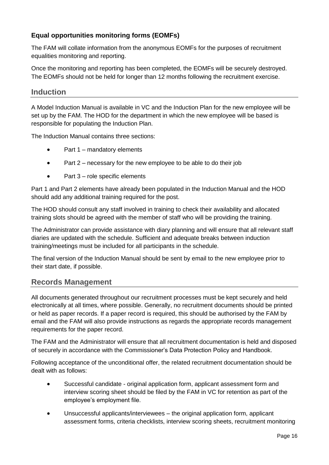# <span id="page-15-0"></span>**Equal opportunities monitoring forms (EOMFs)**

The FAM will collate information from the anonymous EOMFs for the purposes of recruitment equalities monitoring and reporting.

Once the monitoring and reporting has been completed, the EOMFs will be securely destroyed. The EOMFs should not be held for longer than 12 months following the recruitment exercise.

# <span id="page-15-1"></span>**Induction**

A Model Induction Manual is available in VC and the Induction Plan for the new employee will be set up by the FAM. The HOD for the department in which the new employee will be based is responsible for populating the Induction Plan.

The Induction Manual contains three sections:

- Part 1 mandatory elements
- Part 2 necessary for the new employee to be able to do their job
- Part 3 role specific elements

Part 1 and Part 2 elements have already been populated in the Induction Manual and the HOD should add any additional training required for the post.

The HOD should consult any staff involved in training to check their availability and allocated training slots should be agreed with the member of staff who will be providing the training.

The Administrator can provide assistance with diary planning and will ensure that all relevant staff diaries are updated with the schedule. Sufficient and adequate breaks between induction training/meetings must be included for all participants in the schedule.

The final version of the Induction Manual should be sent by email to the new employee prior to their start date, if possible.

## <span id="page-15-2"></span>**Records Management**

All documents generated throughout our recruitment processes must be kept securely and held electronically at all times, where possible. Generally, no recruitment documents should be printed or held as paper records. If a paper record is required, this should be authorised by the FAM by email and the FAM will also provide instructions as regards the appropriate records management requirements for the paper record.

The FAM and the Administrator will ensure that all recruitment documentation is held and disposed of securely in accordance with the Commissioner's Data Protection Policy and Handbook.

Following acceptance of the unconditional offer, the related recruitment documentation should be dealt with as follows:

- Successful candidate original application form, applicant assessment form and interview scoring sheet should be filed by the FAM in VC for retention as part of the employee's employment file.
- Unsuccessful applicants/interviewees the original application form, applicant assessment forms, criteria checklists, interview scoring sheets, recruitment monitoring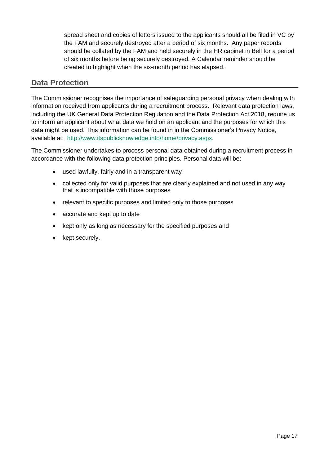spread sheet and copies of letters issued to the applicants should all be filed in VC by the FAM and securely destroyed after a period of six months. Any paper records should be collated by the FAM and held securely in the HR cabinet in Bell for a period of six months before being securely destroyed. A Calendar reminder should be created to highlight when the six-month period has elapsed.

# <span id="page-16-0"></span>**Data Protection**

The Commissioner recognises the importance of safeguarding personal privacy when dealing with information received from applicants during a recruitment process. Relevant data protection laws, including the UK General Data Protection Regulation and the Data Protection Act 2018, require us to inform an applicant about what data we hold on an applicant and the purposes for which this data might be used. This information can be found in in the Commissioner's Privacy Notice, available at: [http://www.itspublicknowledge.info/home/privacy.aspx.](http://www.itspublicknowledge.info/home/privacy.aspx)

The Commissioner undertakes to process personal data obtained during a recruitment process in accordance with the following data protection principles. Personal data will be:

- used lawfully, fairly and in a transparent way
- collected only for valid purposes that are clearly explained and not used in any way that is incompatible with those purposes
- relevant to specific purposes and limited only to those purposes
- accurate and kept up to date
- kept only as long as necessary for the specified purposes and
- kept securely.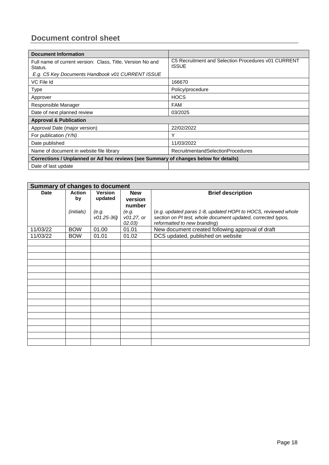# <span id="page-17-0"></span>**Document control sheet**

| <b>Document Information</b>                                                          |                                                                     |  |  |  |
|--------------------------------------------------------------------------------------|---------------------------------------------------------------------|--|--|--|
| Full name of current version: Class, Title, Version No and<br>Status.                | C5 Recruitment and Selection Procedures v01 CURRENT<br><b>ISSUE</b> |  |  |  |
| E.g. C5 Key Documents Handbook v01 CURRENT ISSUE                                     |                                                                     |  |  |  |
| VC File Id                                                                           | 166670                                                              |  |  |  |
| <b>Type</b>                                                                          | Policy/procedure                                                    |  |  |  |
| Approver                                                                             | <b>HOCS</b>                                                         |  |  |  |
| Responsible Manager                                                                  | <b>FAM</b>                                                          |  |  |  |
| Date of next planned review                                                          | 03/2025                                                             |  |  |  |
| <b>Approval &amp; Publication</b>                                                    |                                                                     |  |  |  |
| Approval Date (major version)                                                        | 22/02/2022                                                          |  |  |  |
| For publication (Y/N)                                                                | Υ                                                                   |  |  |  |
| Date published                                                                       | 11/03/2022                                                          |  |  |  |
| Name of document in website file library                                             | <b>RecruitmentandSelectionProcedures</b>                            |  |  |  |
| Corrections / Unplanned or Ad hoc reviews (see Summary of changes below for details) |                                                                     |  |  |  |
| Date of last update                                                                  |                                                                     |  |  |  |

| <b>Summary of changes to document</b> |                     |                           |                       |                                                               |  |  |
|---------------------------------------|---------------------|---------------------------|-----------------------|---------------------------------------------------------------|--|--|
| <b>Date</b>                           | <b>Action</b><br>by | <b>Version</b><br>updated | <b>New</b><br>version | <b>Brief description</b>                                      |  |  |
|                                       |                     |                           | number                |                                                               |  |  |
|                                       | (initials)          | (e.g.                     | (e.g.                 | (e.g. updated paras 1-8, updated HOPI to HOCS, reviewed whole |  |  |
|                                       |                     | $v01.25-36$               | v01.27, or            | section on PI test, whole document updated, corrected typos,  |  |  |
|                                       |                     |                           | 02.03)                | reformatted to new branding)                                  |  |  |
| 11/03/22                              | <b>BOW</b>          | 01.00                     | 01.01                 | New document created following approval of draft              |  |  |
| 11/03/22                              | <b>BOW</b>          | 01.01                     | 01.02                 | DCS updated, published on website                             |  |  |
|                                       |                     |                           |                       |                                                               |  |  |
|                                       |                     |                           |                       |                                                               |  |  |
|                                       |                     |                           |                       |                                                               |  |  |
|                                       |                     |                           |                       |                                                               |  |  |
|                                       |                     |                           |                       |                                                               |  |  |
|                                       |                     |                           |                       |                                                               |  |  |
|                                       |                     |                           |                       |                                                               |  |  |
|                                       |                     |                           |                       |                                                               |  |  |
|                                       |                     |                           |                       |                                                               |  |  |
|                                       |                     |                           |                       |                                                               |  |  |
|                                       |                     |                           |                       |                                                               |  |  |
|                                       |                     |                           |                       |                                                               |  |  |
|                                       |                     |                           |                       |                                                               |  |  |
|                                       |                     |                           |                       |                                                               |  |  |
|                                       |                     |                           |                       |                                                               |  |  |
|                                       |                     |                           |                       |                                                               |  |  |